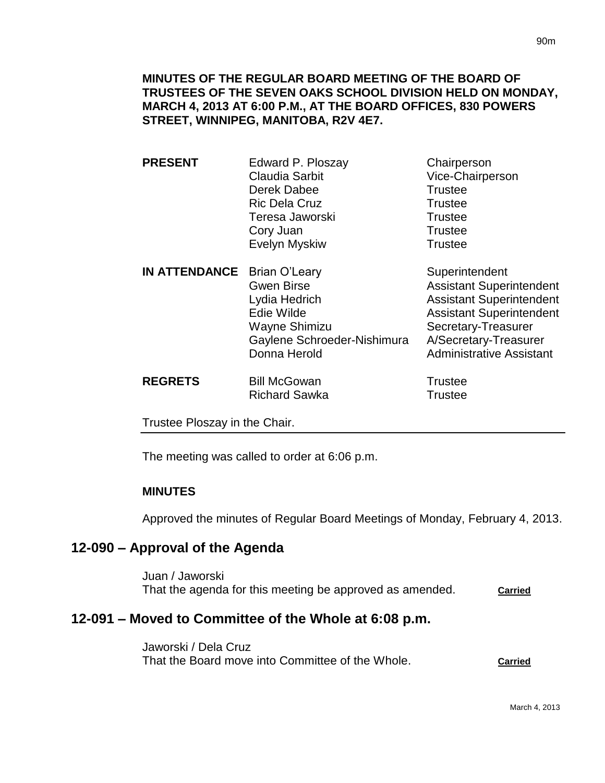- **PRESENT** Edward P. Ploszay Chairperson Claudia Sarbit Vice-Chairperson Derek Dabee Trustee Ric Dela Cruz **Trustee** Teresa Jaworski **Trustee** Cory Juan Trustee Evelyn Myskiw Trustee
- **IN ATTENDANCE** Brian O'Leary Superintendent Gwen Birse **Assistant Superintendent** Lydia Hedrich Assistant Superintendent Edie Wilde **Assistant Superintendent** Wayne Shimizu Secretary-Treasurer Gaylene Schroeder-Nishimura A/Secretary-Treasurer Donna Herold **Administrative Assistant**

**REGRETS** Bill McGowan **Bill McGowan** Trustee Richard Sawka Trustee

Trustee Ploszay in the Chair.

The meeting was called to order at 6:06 p.m.

### **MINUTES**

Approved the minutes of Regular Board Meetings of Monday, February 4, 2013.

# **12-090 – Approval of the Agenda**

Juan / Jaworski That the agenda for this meeting be approved as amended. **Carried** 

# **12-091 – Moved to Committee of the Whole at 6:08 p.m.**

Jaworski / Dela Cruz That the Board move into Committee of the Whole. **Carried**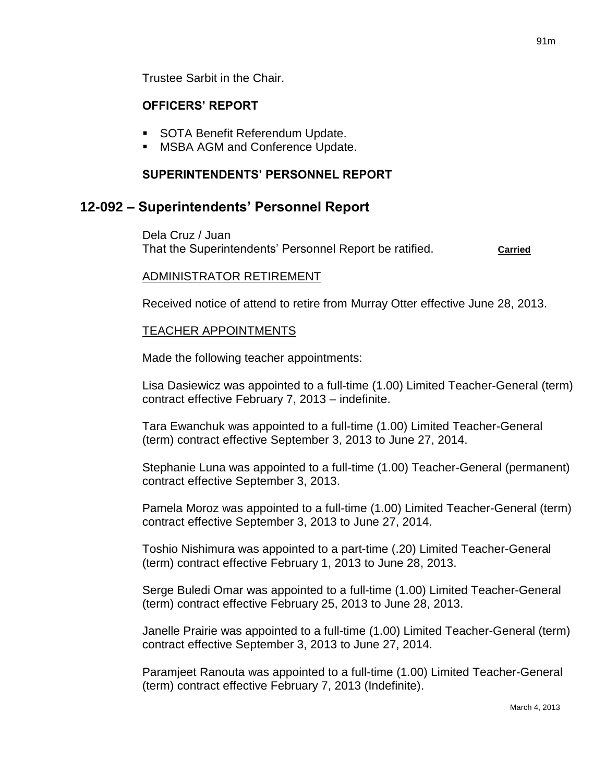Trustee Sarbit in the Chair.

#### **OFFICERS' REPORT**

- **SOTA Benefit Referendum Update.**
- MSBA AGM and Conference Update.

#### **SUPERINTENDENTS' PERSONNEL REPORT**

#### **12-092 – Superintendents' Personnel Report**

Dela Cruz / Juan That the Superintendents' Personnel Report be ratified. **Carried**

#### ADMINISTRATOR RETIREMENT

Received notice of attend to retire from Murray Otter effective June 28, 2013.

#### TEACHER APPOINTMENTS

Made the following teacher appointments:

Lisa Dasiewicz was appointed to a full-time (1.00) Limited Teacher-General (term) contract effective February 7, 2013 – indefinite.

Tara Ewanchuk was appointed to a full-time (1.00) Limited Teacher-General (term) contract effective September 3, 2013 to June 27, 2014.

Stephanie Luna was appointed to a full-time (1.00) Teacher-General (permanent) contract effective September 3, 2013.

Pamela Moroz was appointed to a full-time (1.00) Limited Teacher-General (term) contract effective September 3, 2013 to June 27, 2014.

Toshio Nishimura was appointed to a part-time (.20) Limited Teacher-General (term) contract effective February 1, 2013 to June 28, 2013.

Serge Buledi Omar was appointed to a full-time (1.00) Limited Teacher-General (term) contract effective February 25, 2013 to June 28, 2013.

Janelle Prairie was appointed to a full-time (1.00) Limited Teacher-General (term) contract effective September 3, 2013 to June 27, 2014.

Paramjeet Ranouta was appointed to a full-time (1.00) Limited Teacher-General (term) contract effective February 7, 2013 (Indefinite).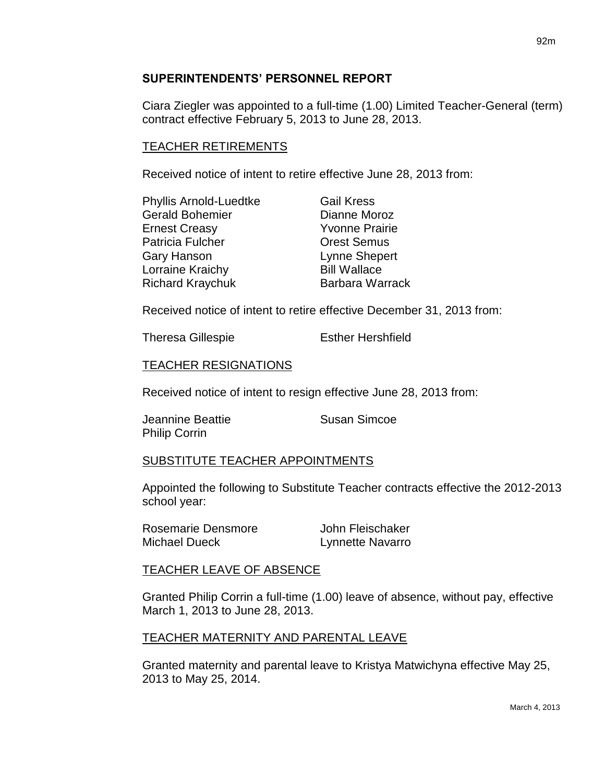#### **SUPERINTENDENTS' PERSONNEL REPORT**

Ciara Ziegler was appointed to a full-time (1.00) Limited Teacher-General (term) contract effective February 5, 2013 to June 28, 2013.

#### TEACHER RETIREMENTS

Received notice of intent to retire effective June 28, 2013 from:

| <b>Phyllis Arnold-Luedtke</b> | <b>Gail Kress</b>     |
|-------------------------------|-----------------------|
| <b>Gerald Bohemier</b>        | Dianne Moroz          |
| <b>Ernest Creasy</b>          | <b>Yvonne Prairie</b> |
| Patricia Fulcher              | <b>Orest Semus</b>    |
| <b>Gary Hanson</b>            | Lynne Shepert         |
| Lorraine Kraichy              | <b>Bill Wallace</b>   |
| <b>Richard Kraychuk</b>       | Barbara Warrack       |

Received notice of intent to retire effective December 31, 2013 from:

Theresa Gillespie **Esther Hershfield** 

#### TEACHER RESIGNATIONS

Received notice of intent to resign effective June 28, 2013 from:

**Jeannine Beattie Susan Simcoe** Philip Corrin

### SUBSTITUTE TEACHER APPOINTMENTS

Appointed the following to Substitute Teacher contracts effective the 2012-2013 school year:

| Rosemarie Densmore   | John Fleischaker |
|----------------------|------------------|
| <b>Michael Dueck</b> | Lynnette Navarro |

#### TEACHER LEAVE OF ABSENCE

Granted Philip Corrin a full-time (1.00) leave of absence, without pay, effective March 1, 2013 to June 28, 2013.

### TEACHER MATERNITY AND PARENTAL LEAVE

Granted maternity and parental leave to Kristya Matwichyna effective May 25, 2013 to May 25, 2014.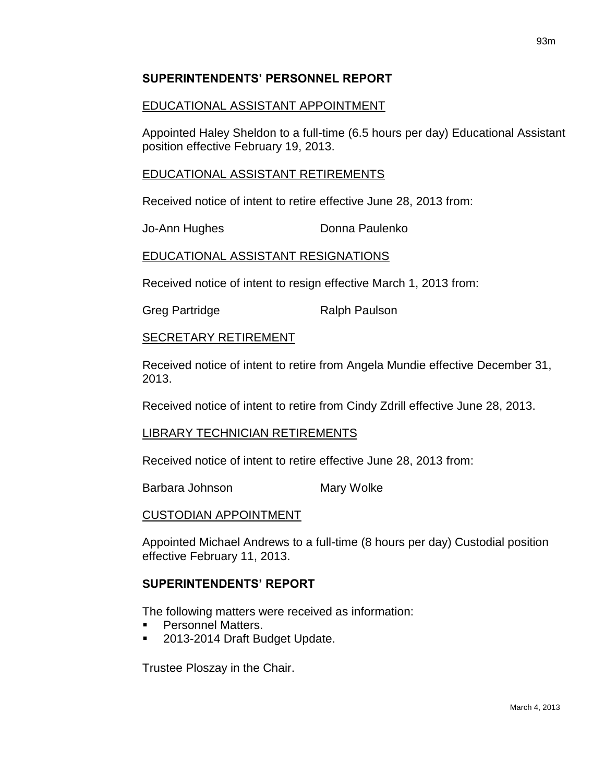#### **SUPERINTENDENTS' PERSONNEL REPORT**

#### EDUCATIONAL ASSISTANT APPOINTMENT

Appointed Haley Sheldon to a full-time (6.5 hours per day) Educational Assistant position effective February 19, 2013.

#### EDUCATIONAL ASSISTANT RETIREMENTS

Received notice of intent to retire effective June 28, 2013 from:

Jo-Ann Hughes **Donna Paulenko** 

#### EDUCATIONAL ASSISTANT RESIGNATIONS

Received notice of intent to resign effective March 1, 2013 from:

Greg Partridge **Ralph Paulson** 

#### SECRETARY RETIREMENT

Received notice of intent to retire from Angela Mundie effective December 31, 2013.

Received notice of intent to retire from Cindy Zdrill effective June 28, 2013.

#### LIBRARY TECHNICIAN RETIREMENTS

Received notice of intent to retire effective June 28, 2013 from:

Barbara Johnson Mary Wolke

#### CUSTODIAN APPOINTMENT

Appointed Michael Andrews to a full-time (8 hours per day) Custodial position effective February 11, 2013.

### **SUPERINTENDENTS' REPORT**

The following matters were received as information:

- Personnel Matters.
- 2013-2014 Draft Budget Update.

Trustee Ploszay in the Chair.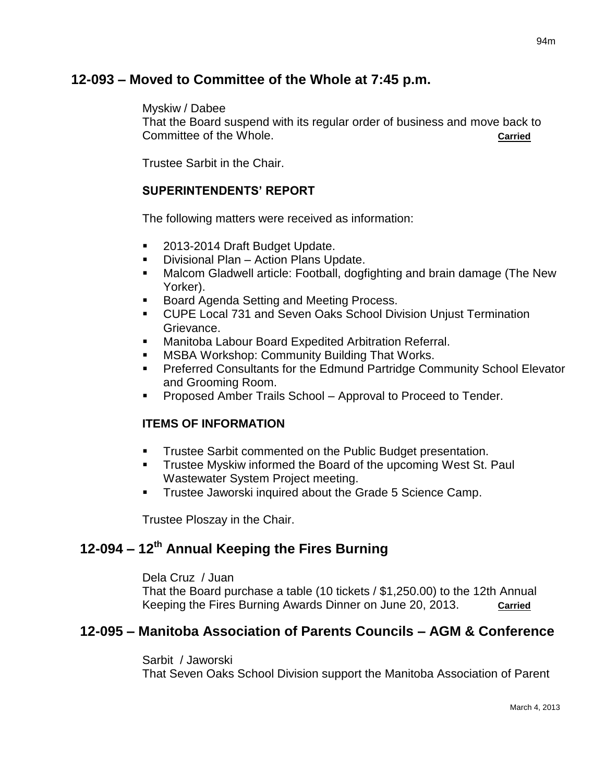# **12-093 – Moved to Committee of the Whole at 7:45 p.m.**

#### Myskiw / Dabee

That the Board suspend with its regular order of business and move back to Committee of the Whole. **Carried**

Trustee Sarbit in the Chair.

#### **SUPERINTENDENTS' REPORT**

The following matters were received as information:

- 2013-2014 Draft Budget Update.
- Divisional Plan Action Plans Update.
- Malcom Gladwell article: Football, dogfighting and brain damage (The New Yorker).
- Board Agenda Setting and Meeting Process.
- CUPE Local 731 and Seven Oaks School Division Unjust Termination Grievance.
- **Manitoba Labour Board Expedited Arbitration Referral.**
- MSBA Workshop: Community Building That Works.
- **Preferred Consultants for the Edmund Partridge Community School Elevator** and Grooming Room.
- Proposed Amber Trails School Approval to Proceed to Tender.

### **ITEMS OF INFORMATION**

- **Trustee Sarbit commented on the Public Budget presentation.**
- Trustee Myskiw informed the Board of the upcoming West St. Paul Wastewater System Project meeting.
- **Trustee Jaworski inquired about the Grade 5 Science Camp.**

Trustee Ploszay in the Chair.

# **12-094 – 12th Annual Keeping the Fires Burning**

Dela Cruz / Juan

That the Board purchase a table (10 tickets / \$1,250.00) to the 12th Annual Keeping the Fires Burning Awards Dinner on June 20, 2013. **Carried**

## **12-095 – Manitoba Association of Parents Councils – AGM & Conference**

Sarbit / Jaworski

That Seven Oaks School Division support the Manitoba Association of Parent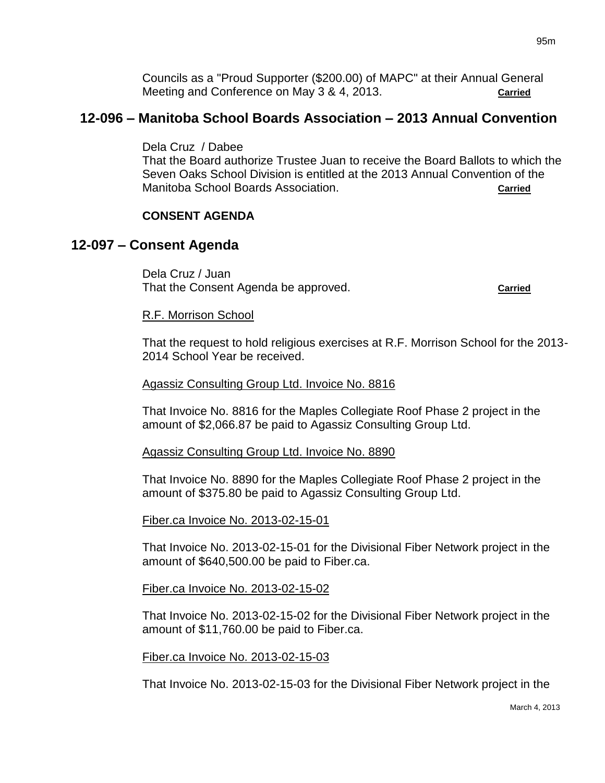Councils as a "Proud Supporter (\$200.00) of MAPC" at their Annual General Meeting and Conference on May 3 & 4, 2013. **Carried**

# **12-096 – Manitoba School Boards Association – 2013 Annual Convention**

Dela Cruz / Dabee

That the Board authorize Trustee Juan to receive the Board Ballots to which the Seven Oaks School Division is entitled at the 2013 Annual Convention of the Manitoba School Boards Association. **Carried**

#### **CONSENT AGENDA**

### **12-097 – Consent Agenda**

Dela Cruz / Juan That the Consent Agenda be approved. **Carried Carried** 

#### R.F. Morrison School

That the request to hold religious exercises at R.F. Morrison School for the 2013- 2014 School Year be received.

#### Agassiz Consulting Group Ltd. Invoice No. 8816

That Invoice No. 8816 for the Maples Collegiate Roof Phase 2 project in the amount of \$2,066.87 be paid to Agassiz Consulting Group Ltd.

#### Agassiz Consulting Group Ltd. Invoice No. 8890

That Invoice No. 8890 for the Maples Collegiate Roof Phase 2 project in the amount of \$375.80 be paid to Agassiz Consulting Group Ltd.

#### Fiber.ca Invoice No. 2013-02-15-01

That Invoice No. 2013-02-15-01 for the Divisional Fiber Network project in the amount of \$640,500.00 be paid to Fiber.ca.

#### Fiber.ca Invoice No. 2013-02-15-02

That Invoice No. 2013-02-15-02 for the Divisional Fiber Network project in the amount of \$11,760.00 be paid to Fiber.ca.

#### Fiber.ca Invoice No. 2013-02-15-03

That Invoice No. 2013-02-15-03 for the Divisional Fiber Network project in the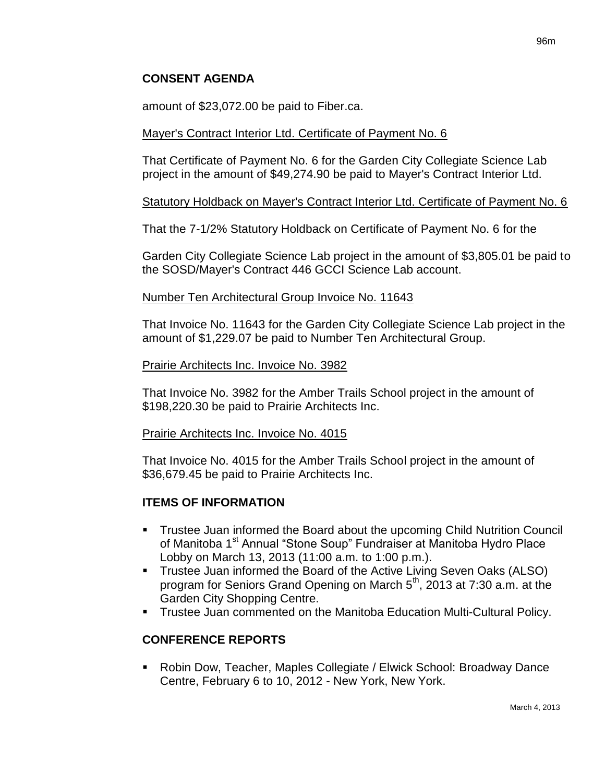amount of \$23,072.00 be paid to Fiber.ca.

### Mayer's Contract Interior Ltd. Certificate of Payment No. 6

That Certificate of Payment No. 6 for the Garden City Collegiate Science Lab project in the amount of \$49,274.90 be paid to Mayer's Contract Interior Ltd.

### Statutory Holdback on Mayer's Contract Interior Ltd. Certificate of Payment No. 6

That the 7-1/2% Statutory Holdback on Certificate of Payment No. 6 for the

Garden City Collegiate Science Lab project in the amount of \$3,805.01 be paid to the SOSD/Mayer's Contract 446 GCCI Science Lab account.

### Number Ten Architectural Group Invoice No. 11643

That Invoice No. 11643 for the Garden City Collegiate Science Lab project in the amount of \$1,229.07 be paid to Number Ten Architectural Group.

#### Prairie Architects Inc. Invoice No. 3982

That Invoice No. 3982 for the Amber Trails School project in the amount of \$198,220.30 be paid to Prairie Architects Inc.

#### Prairie Architects Inc. Invoice No. 4015

That Invoice No. 4015 for the Amber Trails School project in the amount of \$36,679.45 be paid to Prairie Architects Inc.

### **ITEMS OF INFORMATION**

- Trustee Juan informed the Board about the upcoming Child Nutrition Council of Manitoba 1<sup>st</sup> Annual "Stone Soup" Fundraiser at Manitoba Hydro Place Lobby on March 13, 2013 (11:00 a.m. to 1:00 p.m.).
- **Trustee Juan informed the Board of the Active Living Seven Oaks (ALSO)** program for Seniors Grand Opening on March 5<sup>th</sup>, 2013 at 7:30 a.m. at the Garden City Shopping Centre.
- Trustee Juan commented on the Manitoba Education Multi-Cultural Policy.

### **CONFERENCE REPORTS**

 Robin Dow, Teacher, Maples Collegiate / Elwick School: Broadway Dance Centre, February 6 to 10, 2012 - New York, New York.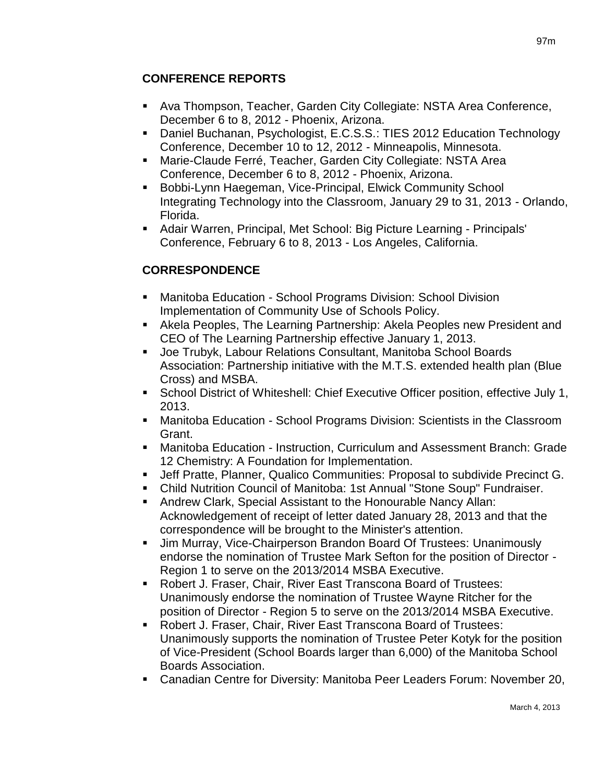### **CONFERENCE REPORTS**

- Ava Thompson, Teacher, Garden City Collegiate: NSTA Area Conference, December 6 to 8, 2012 - Phoenix, Arizona.
- Daniel Buchanan, Psychologist, E.C.S.S.: TIES 2012 Education Technology Conference, December 10 to 12, 2012 - Minneapolis, Minnesota.
- Marie-Claude Ferré, Teacher, Garden City Collegiate: NSTA Area Conference, December 6 to 8, 2012 - Phoenix, Arizona.
- Bobbi-Lynn Haegeman, Vice-Principal, Elwick Community School Integrating Technology into the Classroom, January 29 to 31, 2013 - Orlando, Florida.
- Adair Warren, Principal, Met School: Big Picture Learning Principals' Conference, February 6 to 8, 2013 - Los Angeles, California.

## **CORRESPONDENCE**

- Manitoba Education School Programs Division: School Division Implementation of Community Use of Schools Policy.
- Akela Peoples, The Learning Partnership: Akela Peoples new President and CEO of The Learning Partnership effective January 1, 2013.
- Joe Trubyk, Labour Relations Consultant, Manitoba School Boards Association: Partnership initiative with the M.T.S. extended health plan (Blue Cross) and MSBA.
- School District of Whiteshell: Chief Executive Officer position, effective July 1, 2013.
- Manitoba Education School Programs Division: Scientists in the Classroom Grant.
- Manitoba Education Instruction, Curriculum and Assessment Branch: Grade 12 Chemistry: A Foundation for Implementation.
- Jeff Pratte, Planner, Qualico Communities: Proposal to subdivide Precinct G.
- Child Nutrition Council of Manitoba: 1st Annual "Stone Soup" Fundraiser.
- Andrew Clark, Special Assistant to the Honourable Nancy Allan: Acknowledgement of receipt of letter dated January 28, 2013 and that the correspondence will be brought to the Minister's attention.
- Jim Murray, Vice-Chairperson Brandon Board Of Trustees: Unanimously endorse the nomination of Trustee Mark Sefton for the position of Director - Region 1 to serve on the 2013/2014 MSBA Executive.
- Robert J. Fraser, Chair, River East Transcona Board of Trustees: Unanimously endorse the nomination of Trustee Wayne Ritcher for the position of Director - Region 5 to serve on the 2013/2014 MSBA Executive.
- Robert J. Fraser, Chair, River East Transcona Board of Trustees: Unanimously supports the nomination of Trustee Peter Kotyk for the position of Vice-President (School Boards larger than 6,000) of the Manitoba School Boards Association.
- Canadian Centre for Diversity: Manitoba Peer Leaders Forum: November 20,